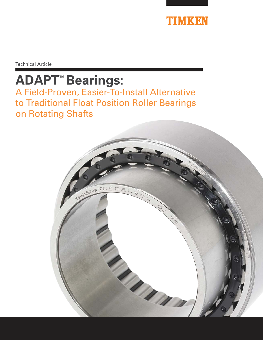

Technical Article

# **ADAPT™ Bearings:**

A Field-Proven, Easier-To-Install Alternative to Traditional Float Position Roller Bearings on Rotating Shafts

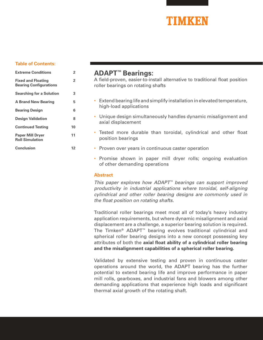

# **Table of Contents:**

| <b>Extreme Conditions</b>                                  | 2              |
|------------------------------------------------------------|----------------|
| <b>Fixed and Floating</b><br><b>Bearing Configurations</b> | $\overline{2}$ |
| <b>Searching for a Solution</b>                            | 3              |
| <b>A Brand New Bearing</b>                                 | 5              |
| <b>Bearing Design</b>                                      | 6              |
| <b>Design Validation</b>                                   | 8              |
| <b>Continued Testing</b>                                   | 10             |
| <b>Paper Mill Dryer</b><br><b>Roll Simulation</b>          | 11             |
| <b>Conclusion</b>                                          | 12             |

# **ADAPT™ Bearings:**

A field-proven, easier-to-install alternative to traditional float position roller bearings on rotating shafts

- Extend bearing life and simplify installation in elevated temperature, high-load applications
- Unique design simultaneously handles dynamic misalignment and axial displacement
- Tested more durable than toroidal, cylindrical and other float position bearings
- Proven over years in continuous caster operation
- Promise shown in paper mill dryer rolls; ongoing evaluation of other demanding operations

# **Abstract**

This paper explores how ADAPT™ bearings can support improved productivity in industrial applications where toroidal, self-aligning cylindrical and other roller bearing designs are commonly used in the float position on rotating shafts.

Traditional roller bearings meet most all of today's heavy industry application requirements, but where dynamic misalignment and axial displacement are a challenge, a superior bearing solution is required. The Timken® ADAPT™ bearing evolves traditional cylindrical and spherical roller bearing designs into a new concept possessing key attributes of both the **axial float ability of a cylindrical roller bearing and the misalignment capabilities of a spherical roller bearing.**

Validated by extensive testing and proven in continuous caster operations around the world, the ADAPT bearing has the further potential to extend bearing life and improve performance in paper mill rolls, gearboxes, and industrial fans and blowers among other demanding applications that experience high loads and significant thermal axial growth of the rotating shaft.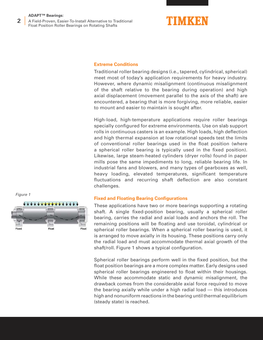A Field-Proven, Easier-To-Install Alternative to Traditional Float Position Roller Bearings on Rotating Shafts **2**



# **Extreme Conditions**

Traditional roller bearing designs (i.e., tapered, cylindrical, spherical) meet most of today's application requirements for heavy industry. However, where dynamic misalignment (continuous misalignment of the shaft relative to the bearing during operation) and high axial displacement (movement parallel to the axis of the shaft) are encountered, a bearing that is more forgiving, more reliable, easier to mount and easier to maintain is sought after.

High-load, high-temperature applications require roller bearings specially configured for extreme environments. Use on slab support rolls in continuous casters is an example. High loads, high deflection and high thermal expansion at low rotational speeds test the limits of conventional roller bearings used in the float position (where a spherical roller bearing is typically used in the fixed position). Likewise, large steam-heated cylinders (dryer rolls) found in paper mills pose the same impediments to long, reliable bearing life. In industrial fans and blowers, and many types of gearboxes as well, heavy loading, elevated temperatures, significant temperature fluctuations and recurring shaft deflection are also constant challenges.

# **Fixed and Floating Bearing Configurations**

These applications have two or more bearings supporting a rotating shaft. A single fixed-position bearing, usually a spherical roller bearing, carries the radial and axial loads and anchors the roll. The remaining positions will be floating and use toroidal, cylindrical or spherical roller bearings. When a spherical roller bearing is used, it is arranged to move axially in its housing. These positions carry only the radial load and must accommodate thermal axial growth of the shaft/roll. Figure 1 shows a typical configuration.

Spherical roller bearings perform well in the fixed position, but the float position bearings are a more complex matter. Early designs used spherical roller bearings engineered to float within their housings. While these accommodate static and dynamic misalignment, the drawback comes from the considerable axial force required to move the bearing axially while under a high radial load — this introduces high and nonuniform reactions in the bearing until thermal equilibrium (steady state) is reached.

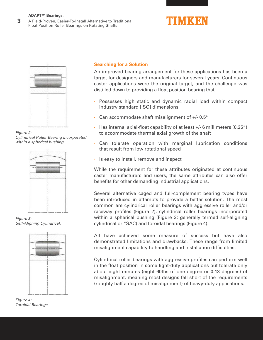A Field-Proven, Easier-To-Install Alternative to Traditional Float Position Roller Bearings on Rotating Shafts **3**





Figure 2: Cylindrical Roller Bearing incorporated within a spherical bushing.



Figure 3: Self-Aligning Cylindrical.



Figure 4: Toroidal Bearings

# **Searching for a Solution**

An improved bearing arrangement for these applications has been a target for designers and manufacturers for several years. Continuous caster applications were the original target, and the challenge was distilled down to providing a float position bearing that:

- Possesses high static and dynamic radial load within compact industry standard [ISO] dimensions
- Can accommodate shaft misalignment of  $+/- 0.5^\circ$
- Has internal axial-float capability of at least +/- 6 millimeters (0.25") to accommodate thermal axial growth of the shaft
- Can tolerate operation with marginal lubrication conditions that result from low rotational speed
- Is easy to install, remove and inspect

While the requirement for these attributes originated at continuous caster manufacturers and users, the same attributes can also offer benefits for other demanding industrial applications.

Several alternative caged and full-complement bearing types have been introduced in attempts to provide a better solution. The most common are cylindrical roller bearings with aggressive roller and/or raceway profiles (Figure 2), cylindrical roller bearings incorporated within a spherical bushing (Figure 3; generally termed self-aligning cylindrical or "SAC) and toroidal bearings (Figure 4).

All have achieved some measure of success but have also demonstrated limitations and drawbacks. These range from limited misalignment capability to handling and installation difficulties.

Cylindrical roller bearings with aggressive profiles can perform well in the float position in some light-duty applications but tolerate only about eight minutes (eight 60ths of one degree or 0.13 degrees) of misalignment, meaning most designs fall short of the requirements (roughly half a degree of misalignment) of heavy-duty applications.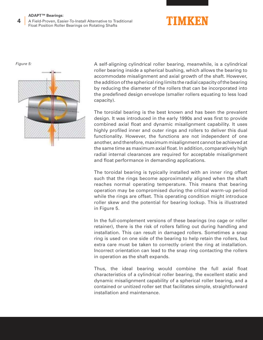A Field-Proven, Easier-To-Install Alternative to Traditional Float Position Roller Bearings on Rotating Shafts **4**





A self-aligning cylindrical roller bearing, meanwhile, is a cylindrical roller bearing inside a spherical bushing, which allows the bearing to accommodate misalignment and axial growth of the shaft. However, the addition of the spherical ring limits the radial capacity of the bearing by reducing the diameter of the rollers that can be incorporated into the predefined design envelope (smaller rollers equating to less load capacity).

The toroidal bearing is the best known and has been the prevalent design. It was introduced in the early 1990s and was first to provide combined axial float and dynamic misalignment capability. It uses highly profiled inner and outer rings and rollers to deliver this dual functionality. However, the functions are not independent of one another, and therefore, maximum misalignment cannot be achieved at the same time as maximum axial float. In addition, comparatively high radial internal clearances are required for acceptable misalignment and float performance in demanding applications.

The toroidal bearing is typically installed with an inner ring offset such that the rings become approximately aligned when the shaft reaches normal operating temperature. This means that bearing operation may be compromised during the critical warm-up period while the rings are offset. This operating condition might introduce roller skew and the potential for bearing lockup. This is illustrated in Figure 5.

In the full-complement versions of these bearings (no cage or roller retainer), there is the risk of rollers falling out during handling and installation. This can result in damaged rollers. Sometimes a snap ring is used on one side of the bearing to help retain the rollers, but extra care must be taken to correctly orient the ring at installation. Incorrect orientation can lead to the snap ring contacting the rollers in operation as the shaft expands.

Thus, the ideal bearing would combine the full axial float characteristics of a cylindrical roller bearing, the excellent static and dynamic misalignment capability of a spherical roller bearing, and a contained or unitized roller set that facilitates simple, straightforward installation and maintenance.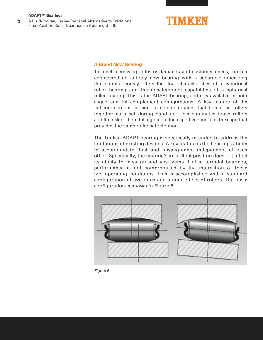A Field-Proven, Easier-To-Install Alternative to Traditional Float Position Roller Bearings on Rotating Shafts **5**



# **A Brand New Bearing**

To meet increasing industry demands and customer needs, Timken engineered an entirely new bearing with a separable inner ring that simultaneously offers the float characteristics of a cylindrical roller bearing and the misalignment capabilities of a spherical roller bearing. This is the ADAPT bearing, and it is available in both caged and full-complement configurations. A key feature of the full-complement version is a roller retainer that holds the rollers together as a set during handling. This eliminates loose rollers and the risk of them falling out. In the caged version, it is the cage that provides the same roller set retention.

The Timken ADAPT bearing is specifically intended to address the limitations of existing designs. A key feature is the bearing's ability to accommodate float and misalignment independent of each other. Specifically, the bearing's axial-float position does not affect its ability to misalign and vice versa. Unlike toroidal bearings, performance is not compromised by the interaction of these two operating conditions. This is accomplished with a standard configuration of two rings and a unitized set of rollers. The basic configuration is shown in Figure 6.



Figure 6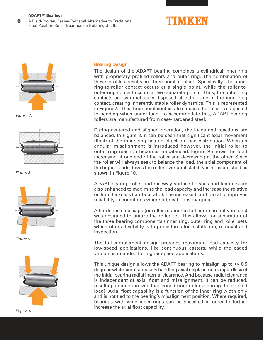A Field-Proven, Easier-To-Install Alternative to Traditional Float Position Roller Bearings on Rotating Shafts **6**





Figure 7:



Figure 8



Figure 9



Figure 10

# **Bearing Design**

The design of the ADAPT bearing combines a cylindrical inner ring with proprietary profiled rollers and outer ring. The combination of these profiles results in three-point contact. Specifically, the inner ring-to-roller contact occurs at a single point, while the roller-toouter-ring contact occurs at two separate points. Thus, the outer ring contacts are symmetrically disposed at either side of the inner-ring contact, creating inherently stable roller dynamics. This is represented in Figure 7. This three-point contact also means the roller is subjected to bending when under load. To accommodate this, ADAPT bearing rollers are manufactured from case-hardened steel.

During centered and aligned operation, the loads and reactions are balanced. In Figure 8, it can be seen that significant axial movement (float) of the inner ring has no effect on load distribution. When an angular misalignment is introduced however, the initial roller to outer ring reaction becomes imbalanced. Figure 9 shows the load increasing at one end of the roller and decreasing at the other. Since the roller will always seek to balance the load, the axial component of the higher loads drives the roller over until stability is re-established as shown in Figure 10.

ADAPT bearing roller and raceway surface finishes and textures are also enhanced to maximize the load capacity and increase the relative oil film thickness (lambda ratio). The increased lambda ratio improves reliability in conditions where lubrication is marginal.

A hardened steel cage (or roller retainer in full-complement versions) was designed to unitize the roller set. This allows for separation of the three bearing components (inner ring, outer ring and roller set), which offers flexibility with procedures for installation, removal and inspection.

The full-complement design provides maximum load capacity for low-speed applications, like continuous casters, while the caged version is intended for higher speed applications.

This unique design allows the ADAPT bearing to misalign up to +/- 0.5 degrees while simultaneously handling axial displacement, regardless of the initial bearing radial internal clearance. And because radial clearance is independent of axial float and misalignment, it can be reduced, resulting in an optimized load zone (more rollers sharing the applied load). Axial float capability is a function of the inner ring width only and is not tied to the bearing's misalignment position. Where required, bearings with wide inner rings can be specified in order to further increase the axial float capability.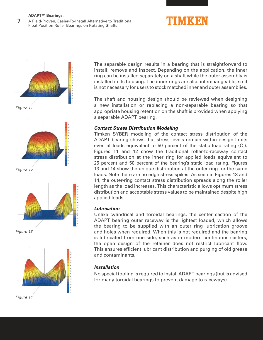A Field-Proven, Easier-To-Install Alternative to Traditional Float Position Roller Bearings on Rotating Shafts **7**





Figure 11



Figure 12



Figure 13



Figure 14

The separable design results in a bearing that is straightforward to install, remove and inspect. Depending on the application, the inner ring can be installed separately on a shaft while the outer assembly is installed in its housing. The inner rings are also interchangeable, so it is not necessary for users to stock matched inner and outer assemblies.

The shaft and housing design should be reviewed when designing a new installation or replacing a non-separable bearing so that appropriate housing retention on the shaft is provided when applying a separable ADAPT bearing.

# **Contact Stress Distribution Modeling**

Timken SYBER modeling of the contact stress distribution of the ADAPT bearing shows that stress levels remain within design limits even at loads equivalent to 50 percent of the static load rating  $(C_{\circ})$ . Figures 11 and 12 show the traditional roller-to-raceway contact stress distribution at the inner ring for applied loads equivalent to 25 percent and 50 percent of the bearing's static load rating. Figures 13 and 14 show the unique distribution at the outer ring for the same loads. Note there are no edge stress spikes. As seen in Figures 13 and 14, the outer-ring contact stress distribution spreads along the roller length as the load increases. This characteristic allows optimum stress distribution and acceptable stress values to be maintained despite high applied loads.

# **Lubrication**

Unlike cylindrical and toroidal bearings, the center section of the ADAPT bearing outer raceway is the lightest loaded, which allows the bearing to be supplied with an outer ring lubrication groove and holes when required. When this is not required and the bearing is lubricated from one side, such as in modern continuous casters, the open design of the retainer does not restrict lubricant flow. This ensures efficient lubricant distribution and purging of old grease and contaminants.

# **Installation**

No special tooling is required to install ADAPT bearings (but is advised for many toroidal bearings to prevent damage to raceways).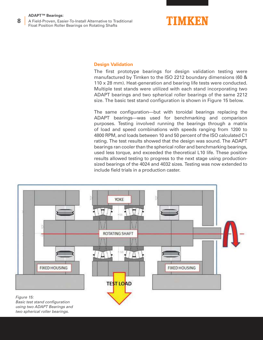A Field-Proven, Easier-To-Install Alternative to Traditional Float Position Roller Bearings on Rotating Shafts **8**



# **Design Validation**

The first prototype bearings for design validation testing were manufactured by Timken to the ISO 2212 boundary dimensions (60 & 110 x 28 mm). Heat-generation and bearing life tests were conducted. Multiple test stands were utilized with each stand incorporating two ADAPT bearings and two spherical roller bearings of the same 2212 size. The basic test stand configuration is shown in Figure 15 below.

The same configuration—but with toroidal bearings replacing the ADAPT bearings—was used for benchmarking and comparison purposes. Testing involved running the bearings through a matrix of load and speed combinations with speeds ranging from 1200 to 4800 RPM, and loads between 10 and 50 percent of the ISO calculated C1 rating. The test results showed that the design was sound. The ADAPT bearings ran cooler than the spherical roller and benchmarking bearings, used less torque, and exceeded the theoretical L10 life. These positive results allowed testing to progress to the next stage using productionsized bearings of the 4024 and 4032 sizes. Testing was now extended to include field trials in a production caster.

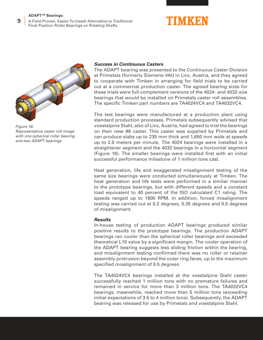A Field-Proven, Easier-To-Install Alternative to Traditional Float Position Roller Bearings on Rotating Shafts **9**





Figure 16: Representative caster roll image with one spherical roller bearing and two ADAPT bearings

# **Success in Continuous Casters**

The ADAPT bearing was presented to the Continuous Caster Division at Primetals [formerly Siemens-VAI] in Linz, Austria, and they agreed to cooperate with Timken in arranging for field trials to be carried out at a commercial production caster. The agreed bearing sizes for these trials were full-complement versions of the 4024- and 4032-size bearings that would be installed on Primetals caster roll assemblies. The specific Timken part numbers are TA4024VC4 and TA4032VC4.

The test bearings were manufactured at a production plant using standard production processes. Primetals subsequently advised that voestalpine Stahl, also of Linz, Austria, had agreed to trial the bearings on their new #6 caster. This caster was supplied by Primetals and can produce slabs up to 235 mm thick and 1,650 mm wide at speeds up to 2.0 meters per minute. The 4024 bearings were installed in a straightener segment and the 4032 bearings in a horizontal segment (Figure 16). The smaller bearings were installed first with an initial successful performance milestone of 1 million tons cast.

Heat generation, life and exaggerated misalignment testing of the same size bearings were conducted simultaneously at Timken. The heat generation and life tests were performed in a similar manner to the prototype bearings, but with different speeds and a constant load equivalent to 40 percent of the ISO calculated C1 rating. The speeds ranged up to 1600 RPM. In addition, forced misalignment testing was carried out at 0.2 degrees, 0.35 degrees and 0.5 degrees of misalignment.

# **Results**

In-house testing of production ADAPT bearings produced similar positive results to the prototype bearings. The production ADAPT bearings ran cooler than the spherical roller bearings and exceeded theoretical L10 value by a significant margin. The cooler operation of the ADAPT bearing suggests less sliding friction within the bearing, and misalignment testing confirmed there was no roller or retainer assembly protrusion beyond the outer ring faces, up to the maximum specified misalignment of 0.5 degrees.

The TA4024VC4 bearings installed at the voestalpine Stahl caster successfully reached 1 million tons with no premature failures and remained in service for more than 3 million tons. The TA4032VC4 bearings, meanwhile, reached more than 5 million tons (exceeding initial expectations of 3.5 to 4 million tons). Subsequently, the ADAPT bearing was released for use by Primetals and voestalpine Stahl.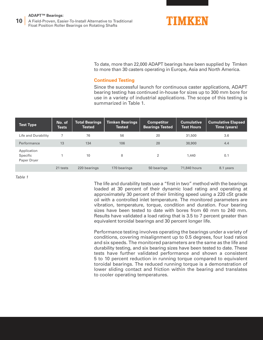A Field-Proven, Easier-To-Install Alternative to Traditional Float Position Roller Bearings on Rotating Shafts **10**



To date, more than 22,000 ADAPT bearings have been supplied by Timken to more than 30 casters operating in Europe, Asia and North America.

# **Continued Testing**

Since the successful launch for continuous caster applications, ADAPT bearing testing has continued in-house for sizes up to 300 mm bore for use in a variety of industrial applications. The scope of this testing is summarized in Table 1.

| <b>Test Type</b>                       | No. of<br><b>Tests</b> | <b>Total Bearings</b><br><b>Tested</b> | <b>Timken Bearings</b><br><b>Tested</b> | <b>Competitor</b><br><b>Bearings Tested</b> | <b>Cumulative</b><br><b>Test Hours</b> | <b>Cumulative Elapsed</b><br>Time (years) |
|----------------------------------------|------------------------|----------------------------------------|-----------------------------------------|---------------------------------------------|----------------------------------------|-------------------------------------------|
| Life and Durability                    |                        | 76                                     | 56                                      | 20                                          | 31,500                                 | 3.6                                       |
| Performance                            | 13                     | 134                                    | 106                                     | 28                                          | 38,900                                 | 4.4                                       |
| Application<br>Specific<br>Paper Dryer |                        | 10                                     | 8                                       | 2                                           | 1,440                                  | 0.1                                       |
|                                        | 21 tests               | 220 bearings                           | 170 bearings                            | 50 bearings                                 | 71,840 hours                           | 8.1 years                                 |

Table 1

The life and durability tests use a "first in two" method with the bearings loaded at 30 percent of their dynamic load rating and operating at approximately 30 percent of their limiting speed using a 220 cSt grade oil with a controlled inlet temperature. The monitored parameters are vibration, temperature, torque, condition and duration. Four bearing sizes have been tested to date with bores from 60 mm to 240 mm. Results have validated a load rating that is 3.5 to 7 percent greater than equivalent toroidal bearings and 30 percent longer life.

Performance testing involves operating the bearings under a variety of conditions, covering misalignment up to 0.5 degrees, four load ratios and six speeds. The monitored parameters are the same as the life and durability testing, and six bearing sizes have been tested to date. These tests have further validated performance and shown a consistent 5 to 10 percent reduction in running torque compared to equivalent toroidal bearings. The reduced running torque is a demonstration of lower sliding contact and friction within the bearing and translates to cooler operating temperatures.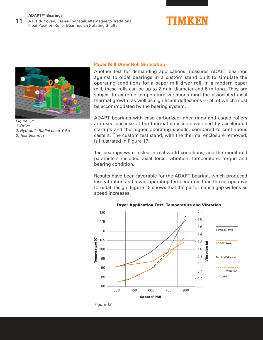A Field-Proven, Easier-To-Install Alternative to Traditional Float Position Roller Bearings on Rotating Shafts **11**





Figure 17: 1. Drive 2. Hydraulic Radial Load Yoke 3. Test Bearings

#### **Paper Mill Dryer Roll Simulation**

Another test for demanding applications measures ADAPT bearings against toroidal bearings in a custom stand built to simulate the operating conditions for a paper mill dryer roll. In a modern paper mill, these rolls can be up to 2 m in diameter and 8 m long. They are subject to extreme temperature variations (and the associated axial thermal growth) as well as significant deflections — all of which must be accommodated by the bearing system.

ADAPT bearings with case carburized inner rings and caged rollers are used because of the thermal stresses developed by accelerated startups and the higher operating speeds, compared to continuous casters. The custom test stand, with the thermal enclosure removed, is illustrated in Figure 17.

Ten bearings were tested in real-world conditions, and the monitored parameters included axial force, vibration, temperature, torque and bearing condition.

Results have been favorable for the ADAPT bearing, which produced less vibration and lower operating temperatures than the competitive toroidal design. Figure 18 shows that the performance gap widens as speed increases.



#### Dryer Application Test: Temperature and Vibration

Figure 18